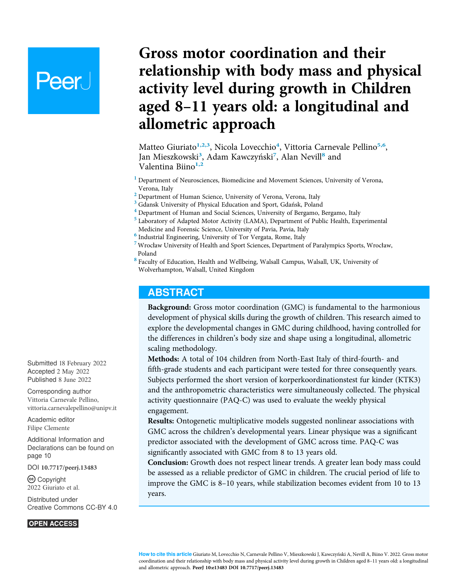# **Peer**

# Gross motor coordination and their relationship with body mass and physical activity level during growth in Children aged 8–11 years old: a longitudinal and allometric approach

Matteo Giuriato<sup>[1,](#page-0-0)[2,](#page-0-1)[3](#page-0-2)</sup>, Nicola Lovecchio<sup>[4](#page-0-3)</sup>, Vittoria Carnevale Pellino<sup>[5,](#page-0-4)[6](#page-0-5)</sup>, Jan Mieszkowski<sup>[3](#page-0-2)</sup>, Adam Kawczyński<sup>[7](#page-0-6)</sup>, Alan Nevill<sup>[8](#page-0-7)</sup> and Valentina Biino<sup>[1,](#page-0-0)[2](#page-0-1)</sup>

- <span id="page-0-0"></span><sup>1</sup> Department of Neurosciences, Biomedicine and Movement Sciences, University of Verona, Verona, Italy
- <span id="page-0-1"></span><sup>2</sup> Department of Human Science, University of Verona, Verona, Italy
- <span id="page-0-3"></span><span id="page-0-2"></span>
- $3$  Gdansk University of Physical Education and Sport, Gdańsk, Poland  $4$  Department of Human and Social Sciences, University of Bergamo, Bergamo, Italy
- <span id="page-0-4"></span><sup>5</sup> Laboratory of Adapted Motor Activity (LAMA), Department of Public Health, Experimental Medicine and Forensic Science, University of Pavia, Pavia, Italy
- <span id="page-0-5"></span> $^{\rm 6}$  Industrial Engineering, University of Tor Vergata, Rome, Italy
- <span id="page-0-6"></span> $7$  Wrocław University of Health and Sport Sciences, Department of Paralympics Sports, Wrocław, Poland
- <span id="page-0-7"></span><sup>8</sup> Faculty of Education, Health and Wellbeing, Walsall Campus, Walsall, UK, University of Wolverhampton, Walsall, United Kingdom

#### ABSTRACT

Background: Gross motor coordination (GMC) is fundamental to the harmonious development of physical skills during the growth of children. This research aimed to explore the developmental changes in GMC during childhood, having controlled for the differences in children's body size and shape using a longitudinal, allometric scaling methodology.

Methods: A total of 104 children from North-East Italy of third-fourth- and fifth-grade students and each participant were tested for three consequently years. Subjects performed the short version of korperkoordinationstest fur kinder (KTK3) and the anthropometric characteristics were simultaneously collected. The physical activity questionnaire (PAQ-C) was used to evaluate the weekly physical engagement.

Results: Ontogenetic multiplicative models suggested nonlinear associations with GMC across the children's developmental years. Linear physique was a significant predictor associated with the development of GMC across time. PAQ-C was significantly associated with GMC from 8 to 13 years old.

Conclusion: Growth does not respect linear trends. A greater lean body mass could be assessed as a reliable predictor of GMC in children. The crucial period of life to improve the GMC is 8–10 years, while stabilization becomes evident from 10 to 13 years.

Submitted 18 February 2022 Accepted 2 May 2022 Published 8 June 2022

Corresponding author Vittoria Carnevale Pellino, [vittoria.carnevalepellino@unipv.it](mailto:vittoria.carnevalepellino@�unipv.it)

[Academic editor](https://peerj.com/academic-boards/editors/) [Filipe Clemente](https://peerj.com/academic-boards/editors/)

[Additional Information and](#page-9-0) [Declarations can be found on](#page-9-0) [page 10](#page-9-0)

DOI [10.7717/peerj.13483](http://dx.doi.org/10.7717/peerj.13483)

(cc) Copyright 2022 Giuriato et al.

[Distributed under](http://www.creativecommons.org/licenses/by/4.0/) [Creative Commons CC-BY 4.0](http://www.creativecommons.org/licenses/by/4.0/)

**OPEN ACCESS**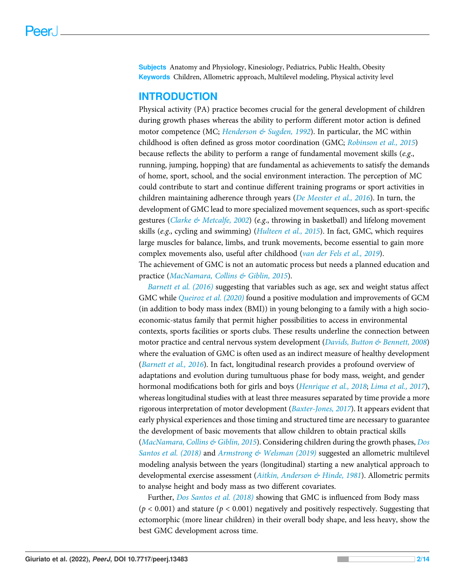Subjects Anatomy and Physiology, Kinesiology, Pediatrics, Public Health, Obesity Keywords Children, Allometric approach, Multilevel modeling, Physical activity level

#### **INTRODUCTION**

Physical activity (PA) practice becomes crucial for the general development of children during growth phases whereas the ability to perform different motor action is defined motor competence (MC; [Henderson & Sugden, 1992](#page-12-0)). In particular, the MC within childhood is often defined as gross motor coordination (GMC; [Robinson et al., 2015](#page-13-0)) because reflects the ability to perform a range of fundamental movement skills (e.g., running, jumping, hopping) that are fundamental as achievements to satisfy the demands of home, sport, school, and the social environment interaction. The perception of MC could contribute to start and continue different training programs or sport activities in children maintaining adherence through years ([De Meester et al., 2016](#page-11-0)). In turn, the development of GMC lead to more specialized movement sequences, such as sport-specific gestures ([Clarke & Metcalfe, 2002](#page-11-1)) (e.g., throwing in basketball) and lifelong movement skills (e.g., cycling and swimming) ([Hulteen et al., 2015](#page-12-1)). In fact, GMC, which requires large muscles for balance, limbs, and trunk movements, become essential to gain more complex movements also, useful after childhood ([van der Fels et al., 2019](#page-13-1)). The achievement of GMC is not an automatic process but needs a planned education and practice ([MacNamara, Collins & Giblin, 2015](#page-12-2)).

[Barnett et al. \(2016\)](#page-10-0) suggesting that variables such as age, sex and weight status affect GMC while *Queiroz et al.* (2020) found a positive modulation and improvements of GCM (in addition to body mass index (BMI)) in young belonging to a family with a high socioeconomic-status family that permit higher possibilities to access in environmental contexts, sports facilities or sports clubs. These results underline the connection between motor practice and central nervous system development ([Davids, Button & Bennett, 2008](#page-11-2)) where the evaluation of GMC is often used as an indirect measure of healthy development ([Barnett et al., 2016](#page-10-0)). In fact, longitudinal research provides a profound overview of adaptations and evolution during tumultuous phase for body mass, weight, and gender hormonal modifications both for girls and boys ([Henrique et al., 2018](#page-12-3); [Lima et al., 2017](#page-12-4)), whereas longitudinal studies with at least three measures separated by time provide a more rigorous interpretation of motor development ([Baxter-Jones, 2017](#page-10-1)). It appears evident that early physical experiences and those timing and structured time are necessary to guarantee the development of basic movements that allow children to obtain practical skills ([MacNamara, Collins & Giblin, 2015](#page-12-2)). Considering children during the growth phases, [Dos](#page-11-3) [Santos et al. \(2018\)](#page-11-3) and Armstrong  $\&$  Welsman (2019) suggested an allometric multilevel modeling analysis between the years (longitudinal) starting a new analytical approach to developmental exercise assessment ([Aitkin, Anderson & Hinde, 1981](#page-10-3)). Allometric permits to analyse height and body mass as two different covariates.

Further, [Dos Santos et al. \(2018\)](#page-11-3) showing that GMC is influenced from Body mass  $(p < 0.001)$  and stature  $(p < 0.001)$  negatively and positively respectively. Suggesting that ectomorphic (more linear children) in their overall body shape, and less heavy, show the best GMC development across time.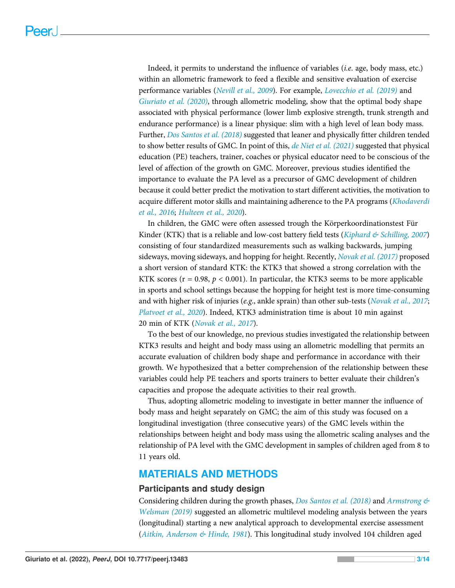Indeed, it permits to understand the influence of variables (i.e. age, body mass, etc.) within an allometric framework to feed a flexible and sensitive evaluation of exercise performance variables ([Nevill et al., 2009](#page-13-3)). For example, [Lovecchio et al. \(2019\)](#page-12-5) and [Giuriato et al. \(2020\)](#page-11-4), through allometric modeling, show that the optimal body shape associated with physical performance (lower limb explosive strength, trunk strength and endurance performance) is a linear physique: slim with a high level of lean body mass. Further, [Dos Santos et al. \(2018\)](#page-11-3) suggested that leaner and physically fitter children tended to show better results of GMC. In point of this, [de Niet et al. \(2021\)](#page-11-5) suggested that physical education (PE) teachers, trainer, coaches or physical educator need to be conscious of the level of affection of the growth on GMC. Moreover, previous studies identified the importance to evaluate the PA level as a precursor of GMC development of children because it could better predict the motivation to start different activities, the motivation to acquire different motor skills and maintaining adherence to the PA programs ([Khodaverdi](#page-12-6) [et al., 2016](#page-12-6); [Hulteen et al., 2020](#page-12-7)).

In children, the GMC were often assessed trough the Körperkoordinationstest Für Kinder (KTK) that is a reliable and low-cost battery field tests ([Kiphard & Schilling, 2007](#page-12-8)) consisting of four standardized measurements such as walking backwards, jumping sideways, moving sideways, and hopping for height. Recently, [Novak et al. \(2017\)](#page-13-4) proposed a short version of standard KTK: the KTK3 that showed a strong correlation with the KTK scores ( $r = 0.98$ ,  $p < 0.001$ ). In particular, the KTK3 seems to be more applicable in sports and school settings because the hopping for height test is more time-consuming and with higher risk of injuries (e.g., ankle sprain) than other sub-tests ([Novak et al., 2017](#page-13-4); [Platvoet et al., 2020](#page-13-5)). Indeed, KTK3 administration time is about 10 min against 20 min of KTK ([Novak et al., 2017](#page-13-4)).

To the best of our knowledge, no previous studies investigated the relationship between KTK3 results and height and body mass using an allometric modelling that permits an accurate evaluation of children body shape and performance in accordance with their growth. We hypothesized that a better comprehension of the relationship between these variables could help PE teachers and sports trainers to better evaluate their children's capacities and propose the adequate activities to their real growth.

Thus, adopting allometric modeling to investigate in better manner the influence of body mass and height separately on GMC; the aim of this study was focused on a longitudinal investigation (three consecutive years) of the GMC levels within the relationships between height and body mass using the allometric scaling analyses and the relationship of PA level with the GMC development in samples of children aged from 8 to 11 years old.

# MATERIALS AND METHODS

#### Participants and study design

Considering children during the growth phases, *Dos Santos et al.* (2018) and *Armstrong*  $\&$ [Welsman \(2019\)](#page-10-2) suggested an allometric multilevel modeling analysis between the years (longitudinal) starting a new analytical approach to developmental exercise assessment ([Aitkin, Anderson & Hinde, 1981](#page-10-3)). This longitudinal study involved 104 children aged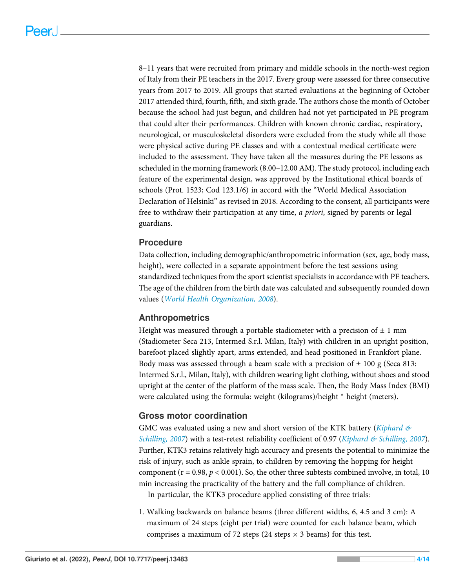8–11 years that were recruited from primary and middle schools in the north-west region of Italy from their PE teachers in the 2017. Every group were assessed for three consecutive years from 2017 to 2019. All groups that started evaluations at the beginning of October 2017 attended third, fourth, fifth, and sixth grade. The authors chose the month of October because the school had just begun, and children had not yet participated in PE program that could alter their performances. Children with known chronic cardiac, respiratory, neurological, or musculoskeletal disorders were excluded from the study while all those were physical active during PE classes and with a contextual medical certificate were included to the assessment. They have taken all the measures during the PE lessons as scheduled in the morning framework (8.00–12.00 AM). The study protocol, including each feature of the experimental design, was approved by the Institutional ethical boards of schools (Prot. 1523; Cod 123.1/6) in accord with the "World Medical Association Declaration of Helsinki" as revised in 2018. According to the consent, all participants were free to withdraw their participation at any time, *a priori*, signed by parents or legal guardians.

#### Procedure

Data collection, including demographic/anthropometric information (sex, age, body mass, height), were collected in a separate appointment before the test sessions using standardized techniques from the sport scientist specialists in accordance with PE teachers. The age of the children from the birth date was calculated and subsequently rounded down values ([World Health Organization, 2008](#page-13-6)).

#### Anthropometrics

Height was measured through a portable stadiometer with a precision of  $\pm 1$  mm (Stadiometer Seca 213, Intermed S.r.l. Milan, Italy) with children in an upright position, barefoot placed slightly apart, arms extended, and head positioned in Frankfort plane. Body mass was assessed through a beam scale with a precision of  $\pm$  100 g (Seca 813: Intermed S.r.l., Milan, Italy), with children wearing light clothing, without shoes and stood upright at the center of the platform of the mass scale. Then, the Body Mass Index (BMI) were calculated using the formula: weight (kilograms)/height  $*$  height (meters).

#### Gross motor coordination

GMC was evaluated using a new and short version of the KTK battery (Kiphard  $\mathfrak{G}$ [Schilling, 2007](#page-12-8)) with a test-retest reliability coefficient of 0.97 ([Kiphard & Schilling, 2007](#page-12-8)). Further, KTK3 retains relatively high accuracy and presents the potential to minimize the risk of injury, such as ankle sprain, to children by removing the hopping for height component ( $r = 0.98$ ,  $p < 0.001$ ). So, the other three subtests combined involve, in total, 10 min increasing the practicality of the battery and the full compliance of children. In particular, the KTK3 procedure applied consisting of three trials:

1. Walking backwards on balance beams (three different widths, 6, 4.5 and 3 cm): A maximum of 24 steps (eight per trial) were counted for each balance beam, which comprises a maximum of 72 steps (24 steps  $\times$  3 beams) for this test.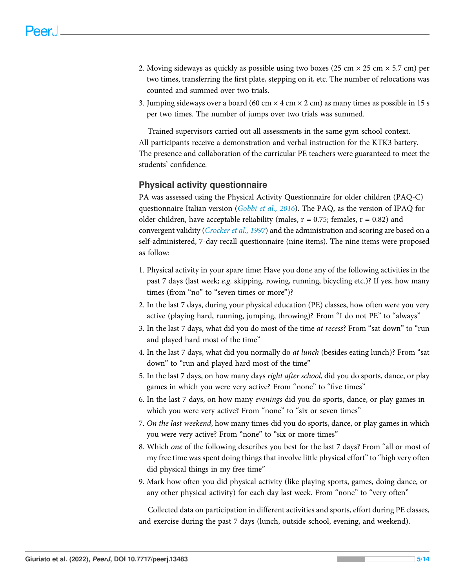- 2. Moving sideways as quickly as possible using two boxes (25 cm  $\times$  25 cm  $\times$  5.7 cm) per two times, transferring the first plate, stepping on it, etc. The number of relocations was counted and summed over two trials.
- 3. Jumping sideways over a board (60 cm  $\times$  4 cm  $\times$  2 cm) as many times as possible in 15 s per two times. The number of jumps over two trials was summed.

Trained supervisors carried out all assessments in the same gym school context. All participants receive a demonstration and verbal instruction for the KTK3 battery. The presence and collaboration of the curricular PE teachers were guaranteed to meet the students' confidence.

#### Physical activity questionnaire

PA was assessed using the Physical Activity Questionnaire for older children (PAQ-C) questionnaire Italian version ([Gobbi et al., 2016](#page-12-9)). The PAQ, as the version of IPAQ for older children, have acceptable reliability (males,  $r = 0.75$ ; females,  $r = 0.82$ ) and convergent validity (*Crocker et al.*, 1997) and the administration and scoring are based on a self-administered, 7-day recall questionnaire (nine items). The nine items were proposed as follow:

- 1. Physical activity in your spare time: Have you done any of the following activities in the past 7 days (last week; e.g. skipping, rowing, running, bicycling etc.)? If yes, how many times (from "no" to "seven times or more")?
- 2. In the last 7 days, during your physical education (PE) classes, how often were you very active (playing hard, running, jumping, throwing)? From "I do not PE" to "always"
- 3. In the last 7 days, what did you do most of the time at recess? From "sat down" to "run and played hard most of the time"
- 4. In the last 7 days, what did you normally do at lunch (besides eating lunch)? From "sat down" to "run and played hard most of the time"
- 5. In the last 7 days, on how many days right after school, did you do sports, dance, or play games in which you were very active? From "none" to "five times"
- 6. In the last 7 days, on how many evenings did you do sports, dance, or play games in which you were very active? From "none" to "six or seven times"
- 7. On the last weekend, how many times did you do sports, dance, or play games in which you were very active? From "none" to "six or more times"
- 8. Which one of the following describes you best for the last 7 days? From "all or most of my free time was spent doing things that involve little physical effort" to "high very often did physical things in my free time"
- 9. Mark how often you did physical activity (like playing sports, games, doing dance, or any other physical activity) for each day last week. From "none" to "very often"

Collected data on participation in different activities and sports, effort during PE classes, and exercise during the past 7 days (lunch, outside school, evening, and weekend).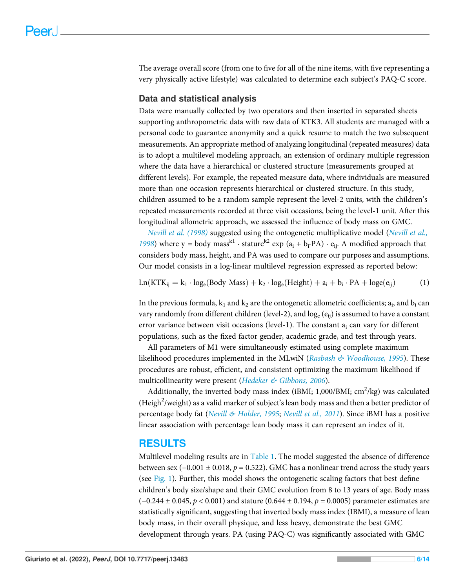The average overall score (from one to five for all of the nine items, with five representing a very physically active lifestyle) was calculated to determine each subject's PAQ-C score.

#### Data and statistical analysis

Data were manually collected by two operators and then inserted in separated sheets supporting anthropometric data with raw data of KTK3. All students are managed with a personal code to guarantee anonymity and a quick resume to match the two subsequent measurements. An appropriate method of analyzing longitudinal (repeated measures) data is to adopt a multilevel modeling approach, an extension of ordinary multiple regression where the data have a hierarchical or clustered structure (measurements grouped at different levels). For example, the repeated measure data, where individuals are measured more than one occasion represents hierarchical or clustered structure. In this study, children assumed to be a random sample represent the level-2 units, with the children's repeated measurements recorded at three visit occasions, being the level-1 unit. After this longitudinal allometric approach, we assessed the influence of body mass on GMC.

[Nevill et al. \(1998\)](#page-13-7) suggested using the ontogenetic multiplicative model ([Nevill et al.,](#page-13-7) [1998](#page-13-7)) where y = body mass<sup>k1</sup> ⋅ stature<sup>k2</sup> exp (a<sub>i</sub> + b<sub>i</sub>⋅PA) ⋅ e<sub>ij</sub>. A modified approach that considers body mass, height, and PA was used to compare our purposes and assumptions. Our model consists in a log-linear multilevel regression expressed as reported below:

<span id="page-5-0"></span>
$$
Ln(KTK_{ij} = k_1 \cdot log_e(Body Mass) + k_2 \cdot log_e(Height) + a_i + b_i \cdot PA + log_e(e_{ij})
$$
 (1)

In the previous formula,  $k_1$  and  $k_2$  are the ontogenetic allometric coefficients;  $a_i$ , and  $b_i$  can vary randomly from different children (level-2), and  $log_e (e_{ii})$  is assumed to have a constant error variance between visit occasions (level-1). The constant  $a_i$  can vary for different populations, such as the fixed factor gender, academic grade, and test through years.

All parameters of M1 were simultaneously estimated using complete maximum likelihood procedures implemented in the MLwiN (Rasbash  $\&$  Woodhouse, 1995). These procedures are robust, efficient, and consistent optimizing the maximum likelihood if multicollinearity were present ([Hedeker & Gibbons, 2006](#page-12-10)).

Additionally, the inverted body mass index (iBMI;  $1,000/B$ MI;  $\text{cm}^2/\text{kg}$ ) was calculated (Heigh<sup>2</sup>/weight) as a valid marker of subject's lean body mass and then a better predictor of percentage body fat ([Nevill & Holder, 1995](#page-12-11); [Nevill et al., 2011](#page-13-9)). Since iBMI has a positive linear association with percentage lean body mass it can represent an index of it.

## RESULTS

Multilevel modeling results are in [Table 1.](#page-6-0) The model suggested the absence of difference between sex (−0.001  $\pm$  0.018, p = 0.522). GMC has a nonlinear trend across the study years (see [Fig. 1\)](#page-7-0). Further, this model shows the ontogenetic scaling factors that best define children's body size/shape and their GMC evolution from 8 to 13 years of age. Body mass  $(-0.244 \pm 0.045, p < 0.001)$  and stature  $(0.644 \pm 0.194, p = 0.0005)$  parameter estimates are statistically significant, suggesting that inverted body mass index (IBMI), a measure of lean body mass, in their overall physique, and less heavy, demonstrate the best GMC development through years. PA (using PAQ-C) was significantly associated with GMC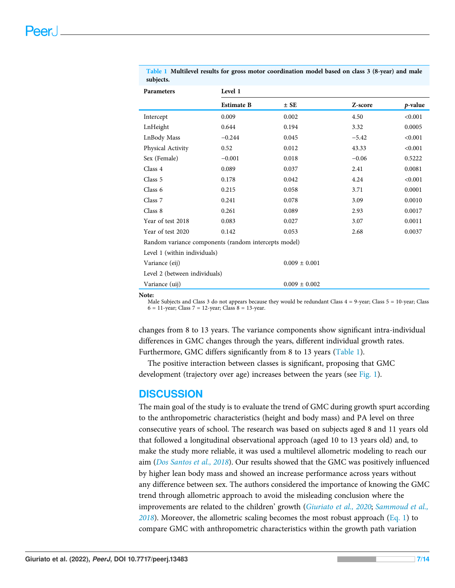| Parameters                                           | Level 1           |                   |         |         |
|------------------------------------------------------|-------------------|-------------------|---------|---------|
|                                                      | <b>Estimate B</b> | $\pm$ SE          | Z-score | p-value |
| Intercept                                            | 0.009             | 0.002             | 4.50    | < 0.001 |
| LnHeight                                             | 0.644             | 0.194             | 3.32    | 0.0005  |
| LnBody Mass                                          | $-0.244$          | 0.045             | $-5.42$ | < 0.001 |
| Physical Activity                                    | 0.52              | 0.012             | 43.33   | < 0.001 |
| Sex (Female)                                         | $-0.001$          | 0.018             | $-0.06$ | 0.5222  |
| Class 4                                              | 0.089             | 0.037             | 2.41    | 0.0081  |
| Class 5                                              | 0.178             | 0.042             | 4.24    | < 0.001 |
| Class 6                                              | 0.215             | 0.058             | 3.71    | 0.0001  |
| Class 7                                              | 0.241             | 0.078             | 3.09    | 0.0010  |
| Class 8                                              | 0.261             | 0.089             | 2.93    | 0.0017  |
| Year of test 2018                                    | 0.083             | 0.027             | 3.07    | 0.0011  |
| Year of test 2020                                    | 0.142             | 0.053             | 2.68    | 0.0037  |
| Random variance components (random intercepts model) |                   |                   |         |         |
| Level 1 (within individuals)                         |                   |                   |         |         |
| Variance (eij)                                       |                   | $0.009 \pm 0.001$ |         |         |
| Level 2 (between individuals)                        |                   |                   |         |         |
| Variance (uij)                                       |                   | $0.009 \pm 0.002$ |         |         |

<span id="page-6-0"></span>Table 1 Multilevel results for gross motor coordination model based on class 3 (8-year) and male subjects.

Note:

Male Subjects and Class 3 do not appears because they would be redundant Class 4 = 9-year; Class 5 = 10-year; Class  $6 = 11$ -year; Class  $7 = 12$ -year; Class  $8 = 13$ -year.

changes from 8 to 13 years. The variance components show significant intra-individual differences in GMC changes through the years, different individual growth rates. Furthermore, GMC differs significantly from 8 to 13 years ([Table 1\)](#page-6-0).

The positive interaction between classes is significant, proposing that GMC development (trajectory over age) increases between the years (see [Fig. 1\)](#page-7-0).

#### **DISCUSSION**

The main goal of the study is to evaluate the trend of GMC during growth spurt according to the anthropometric characteristics (height and body mass) and PA level on three consecutive years of school. The research was based on subjects aged 8 and 11 years old that followed a longitudinal observational approach (aged 10 to 13 years old) and, to make the study more reliable, it was used a multilevel allometric modeling to reach our aim ([Dos Santos et al., 2018](#page-11-3)). Our results showed that the GMC was positively influenced by higher lean body mass and showed an increase performance across years without any difference between sex. The authors considered the importance of knowing the GMC trend through allometric approach to avoid the misleading conclusion where the improvements are related to the children' growth ([Giuriato et al., 2020](#page-11-4); [Sammoud et al.,](#page-13-10)  $2018$ ). Moreover, the allometric scaling becomes the most robust approach [\(Eq. 1](#page-5-0)) to compare GMC with anthropometric characteristics within the growth path variation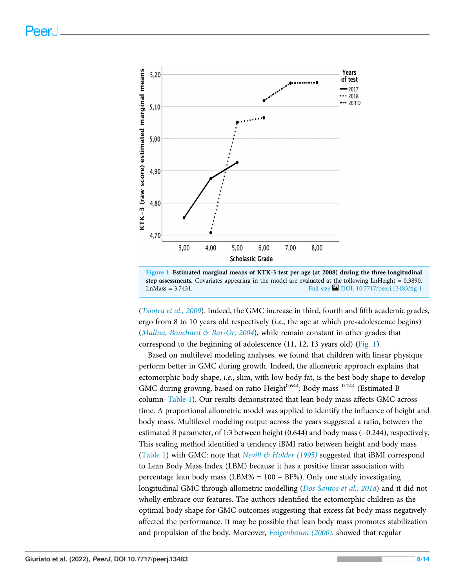<span id="page-7-0"></span>

Figure 1 Estimated marginal means of KTK-3 test per age (at 2008) during the three longitudinal step assessments. Covariates appearing in the model are evaluated at the following LnHeight = 0.3890, LnMass =  $3.7431$ . Full-size  $\Box$  [DOI: 10.7717/peerj.13483/](http://dx.doi.org/10.7717/peerj.13483/fig-1)fig-1

([Tsiotra et al., 2009](#page-13-11)). Indeed, the GMC increase in third, fourth and fifth academic grades, ergo from 8 to 10 years old respectively (i.e., the age at which pre-adolescence begins) ([Malina, Bouchard & Bar-Or, 2004](#page-12-12)), while remain constant in other grades that correspond to the beginning of adolescence (11, 12, 13 years old) [\(Fig. 1\)](#page-7-0).

Based on multilevel modeling analyses, we found that children with linear physique perform better in GMC during growth. Indeed, the allometric approach explains that ectomorphic body shape, i.e., slim, with low body fat, is the best body shape to develop GMC during growing, based on ratio Height<sup>0.644</sup>: Body mass<sup>-0.244</sup> (Estimated B column–[Table 1\)](#page-6-0). Our results demonstrated that lean body mass affects GMC across time. A proportional allometric model was applied to identify the influence of height and body mass. Multilevel modeling output across the years suggested a ratio, between the estimated B parameter, of 1:3 between height (0.644) and body mass (−0.244), respectively. This scaling method identified a tendency iBMI ratio between height and body mass ([Table 1](#page-6-0)) with GMC: note that Nevill  $\mathcal C$  Holder (1995) suggested that iBMI correspond to Lean Body Mass Index (LBM) because it has a positive linear association with percentage lean body mass (LBM% = 100 – BF%). Only one study investigating longitudinal GMC through allometric modelling (*[Dos Santos et al., 2018](#page-11-3)*) and it did not wholly embrace our features. The authors identified the ectomorphic children as the optimal body shape for GMC outcomes suggesting that excess fat body mass negatively affected the performance. It may be possible that lean body mass promotes stabilization and propulsion of the body. Moreover, [Faigenbaum \(2000\)](#page-11-7). showed that regular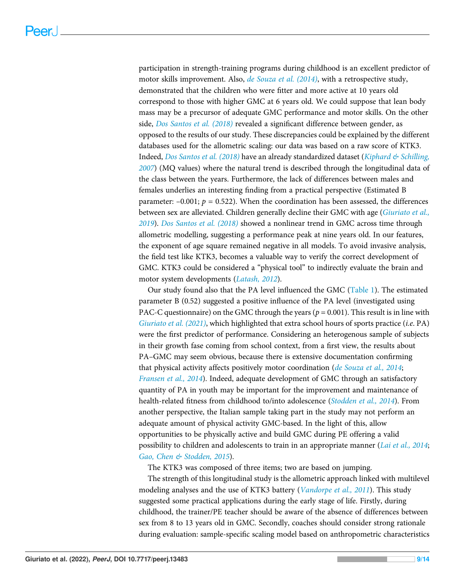participation in strength-training programs during childhood is an excellent predictor of motor skills improvement. Also, [de Souza et al. \(2014\)](#page-11-8), with a retrospective study, demonstrated that the children who were fitter and more active at 10 years old correspond to those with higher GMC at 6 years old. We could suppose that lean body mass may be a precursor of adequate GMC performance and motor skills. On the other side, [Dos Santos et al. \(2018\)](#page-11-3) revealed a significant difference between gender, as opposed to the results of our study. These discrepancies could be explained by the different databases used for the allometric scaling: our data was based on a raw score of KTK3. Indeed, [Dos Santos et al. \(2018\)](#page-11-3) have an already standardized dataset ([Kiphard & Schilling,](#page-12-8) [2007](#page-12-8)) (MQ values) where the natural trend is described through the longitudinal data of the class between the years. Furthermore, the lack of differences between males and females underlies an interesting finding from a practical perspective (Estimated B parameter:  $-0.001$ ;  $p = 0.522$ ). When the coordination has been assessed, the differences between sex are alleviated. Children generally decline their GMC with age ([Giuriato et al.,](#page-11-9) [2019](#page-11-9)). [Dos Santos et al. \(2018\)](#page-11-3) showed a nonlinear trend in GMC across time through allometric modelling, suggesting a performance peak at nine years old. In our features, the exponent of age square remained negative in all models. To avoid invasive analysis, the field test like KTK3, becomes a valuable way to verify the correct development of GMC. KTK3 could be considered a "physical tool" to indirectly evaluate the brain and motor system developments ([Latash, 2012](#page-12-13)).

Our study found also that the PA level influenced the GMC [\(Table 1](#page-6-0)). The estimated parameter B (0.52) suggested a positive influence of the PA level (investigated using PAC-C questionnaire) on the GMC through the years ( $p = 0.001$ ). This result is in line with [Giuriato et al. \(2021\)](#page-11-10), which highlighted that extra school hours of sports practice (i.e. PA) were the first predictor of performance. Considering an heterogenous sample of subjects in their growth fase coming from school context, from a first view, the results about PA–GMC may seem obvious, because there is extensive documentation confirming that physical activity affects positively motor coordination ([de Souza et al., 2014](#page-11-8); [Fransen et al., 2014](#page-11-11)). Indeed, adequate development of GMC through an satisfactory quantity of PA in youth may be important for the improvement and maintenance of health-related fitness from childhood to/into adolescence ([Stodden et al., 2014](#page-13-12)). From another perspective, the Italian sample taking part in the study may not perform an adequate amount of physical activity GMC-based. In the light of this, allow opportunities to be physically active and build GMC during PE offering a valid possibility to children and adolescents to train in an appropriate manner ([Lai et al., 2014](#page-12-14); [Gao, Chen & Stodden, 2015](#page-11-12)).

The KTK3 was composed of three items; two are based on jumping.

The strength of this longitudinal study is the allometric approach linked with multilevel modeling analyses and the use of KTK3 battery ([Vandorpe et al., 2011](#page-13-13)). This study suggested some practical applications during the early stage of life. Firstly, during childhood, the trainer/PE teacher should be aware of the absence of differences between sex from 8 to 13 years old in GMC. Secondly, coaches should consider strong rationale during evaluation: sample-specific scaling model based on anthropometric characteristics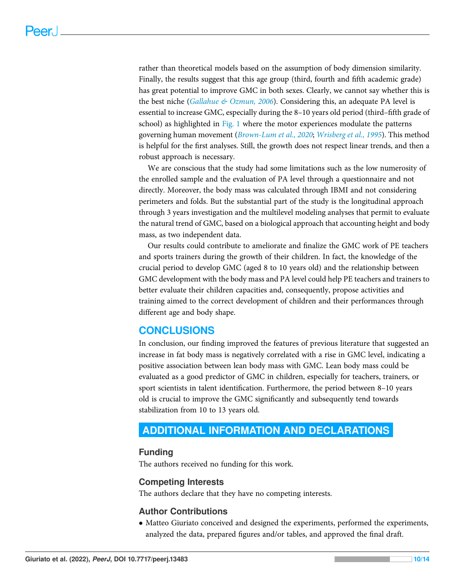rather than theoretical models based on the assumption of body dimension similarity. Finally, the results suggest that this age group (third, fourth and fifth academic grade) has great potential to improve GMC in both sexes. Clearly, we cannot say whether this is the best niche ([Gallahue & Ozmun, 2006](#page-11-13)). Considering this, an adequate PA level is essential to increase GMC, especially during the 8–10 years old period (third–fifth grade of school) as highlighted in [Fig. 1](#page-7-0) where the motor experiences modulate the patterns governing human movement ([Brown-Lum et al., 2020](#page-10-4); [Wrisberg et al., 1995](#page-13-14)). This method is helpful for the first analyses. Still, the growth does not respect linear trends, and then a robust approach is necessary.

We are conscious that the study had some limitations such as the low numerosity of the enrolled sample and the evaluation of PA level through a questionnaire and not directly. Moreover, the body mass was calculated through IBMI and not considering perimeters and folds. But the substantial part of the study is the longitudinal approach through 3 years investigation and the multilevel modeling analyses that permit to evaluate the natural trend of GMC, based on a biological approach that accounting height and body mass, as two independent data.

Our results could contribute to ameliorate and finalize the GMC work of PE teachers and sports trainers during the growth of their children. In fact, the knowledge of the crucial period to develop GMC (aged 8 to 10 years old) and the relationship between GMC development with the body mass and PA level could help PE teachers and trainers to better evaluate their children capacities and, consequently, propose activities and training aimed to the correct development of children and their performances through different age and body shape.

# **CONCLUSIONS**

In conclusion, our finding improved the features of previous literature that suggested an increase in fat body mass is negatively correlated with a rise in GMC level, indicating a positive association between lean body mass with GMC. Lean body mass could be evaluated as a good predictor of GMC in children, especially for teachers, trainers, or sport scientists in talent identification. Furthermore, the period between 8–10 years old is crucial to improve the GMC significantly and subsequently tend towards stabilization from 10 to 13 years old.

# <span id="page-9-0"></span>ADDITIONAL INFORMATION AND DECLARATIONS

#### Funding

The authors received no funding for this work.

#### Competing Interests

The authors declare that they have no competing interests.

#### Author Contributions

 Matteo Giuriato conceived and designed the experiments, performed the experiments, analyzed the data, prepared figures and/or tables, and approved the final draft.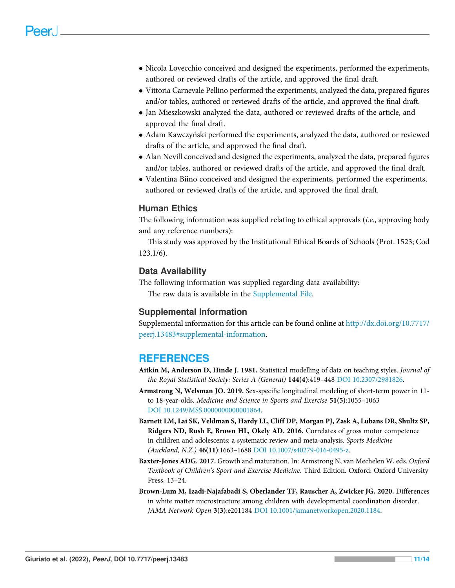- Nicola Lovecchio conceived and designed the experiments, performed the experiments, authored or reviewed drafts of the article, and approved the final draft.
- Vittoria Carnevale Pellino performed the experiments, analyzed the data, prepared figures and/or tables, authored or reviewed drafts of the article, and approved the final draft.
- Jan Mieszkowski analyzed the data, authored or reviewed drafts of the article, and approved the final draft.
- Adam Kawczyński performed the experiments, analyzed the data, authored or reviewed drafts of the article, and approved the final draft.
- Alan Nevill conceived and designed the experiments, analyzed the data, prepared figures and/or tables, authored or reviewed drafts of the article, and approved the final draft.
- Valentina Biino conceived and designed the experiments, performed the experiments, authored or reviewed drafts of the article, and approved the final draft.

#### Human Ethics

The following information was supplied relating to ethical approvals (i.e., approving body and any reference numbers):

This study was approved by the Institutional Ethical Boards of Schools (Prot. 1523; Cod 123.1/6).

#### Data Availability

The following information was supplied regarding data availability:

The raw data is available in the [Supplemental File.](http://dx.doi.org/10.7717/peerj.13483#supplemental-information)

#### Supplemental Information

Supplemental information for this article can be found online at [http://dx.doi.org/10.7717/](http://dx.doi.org/10.7717/peerj.13483#supplemental-information) [peerj.13483#supplemental-information](http://dx.doi.org/10.7717/peerj.13483#supplemental-information).

## **REFERENCES**

- <span id="page-10-3"></span>Aitkin M, Anderson D, Hinde J. 1981. Statistical modelling of data on teaching styles. Journal of the Royal Statistical Society: Series A (General) 144(4):419-448 [DOI 10.2307/2981826](http://dx.doi.org/10.2307/2981826).
- <span id="page-10-2"></span>Armstrong N, Welsman JO. 2019. Sex-specific longitudinal modeling of short-term power in 11 to 18-year-olds. Medicine and Science in Sports and Exercise 51(5):1055–1063 [DOI 10.1249/MSS.0000000000001864.](http://dx.doi.org/10.1249/MSS.0000000000001864)
- <span id="page-10-0"></span>Barnett LM, Lai SK, Veldman S, Hardy LL, Cliff DP, Morgan PJ, Zask A, Lubans DR, Shultz SP, Ridgers ND, Rush E, Brown HL, Okely AD. 2016. Correlates of gross motor competence in children and adolescents: a systematic review and meta-analysis. Sports Medicine (Auckland, N.Z.) 46(11):1663–1688 [DOI 10.1007/s40279-016-0495-z](http://dx.doi.org/10.1007/s40279-016-0495-z).
- <span id="page-10-1"></span>Baxter-Jones ADG. 2017. Growth and maturation. In: Armstrong N, van Mechelen W, eds. Oxford Textbook of Children's Sport and Exercise Medicine. Third Edition. Oxford: Oxford University Press, 13–24.
- <span id="page-10-4"></span>Brown-Lum M, Izadi-Najafabadi S, Oberlander TF, Rauscher A, Zwicker JG. 2020. Differences in white matter microstructure among children with developmental coordination disorder. JAMA Network Open 3(3):e201184 [DOI 10.1001/jamanetworkopen.2020.1184.](http://dx.doi.org/10.1001/jamanetworkopen.2020.1184)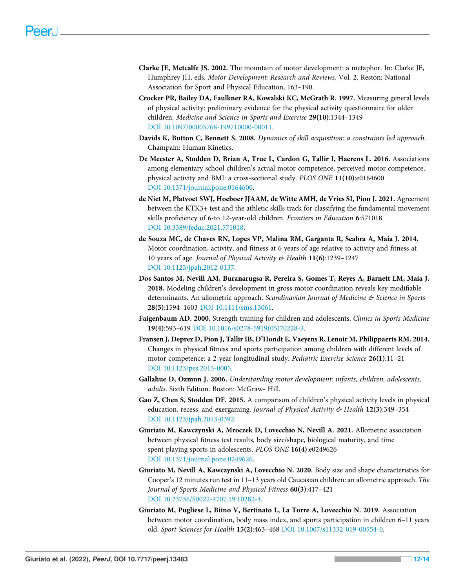- <span id="page-11-1"></span>Clarke JE, Metcalfe JS. 2002. The mountain of motor development: a metaphor. In: Clarke JE, Humphrey JH, eds. Motor Development: Research and Reviews. Vol. 2. Reston: National Association for Sport and Physical Education, 163–190.
- <span id="page-11-6"></span>Crocker PR, Bailey DA, Faulkner RA, Kowalski KC, McGrath R. 1997. Measuring general levels of physical activity: preliminary evidence for the physical activity questionnaire for older children. Medicine and Science in Sports and Exercise 29(10):1344–1349 [DOI 10.1097/00005768-199710000-00011](http://dx.doi.org/10.1097/00005768-199710000-00011).
- <span id="page-11-2"></span>Davids K, Button C, Bennett S. 2008. Dynamics of skill acquisition: a constraints led approach. Champain: Human Kinetics.
- <span id="page-11-0"></span>De Meester A, Stodden D, Brian A, True L, Cardon G, Tallir I, Haerens L. 2016. Associations among elementary school children's actual motor competence, perceived motor competence, physical activity and BMI: a cross-sectional study. PLOS ONE 11(10):e0164600 [DOI 10.1371/journal.pone.0164600](http://dx.doi.org/10.1371/journal.pone.0164600).
- <span id="page-11-5"></span>de Niet M, Platvoet SWJ, Hoeboer JJAAM, de Witte AMH, de Vries SI, Pion J. 2021. Agreement between the KTK3+ test and the athletic skills track for classifying the fundamental movement skills proficiency of 6-to 12-year-old children. Frontiers in Education 6:571018 [DOI 10.3389/feduc.2021.571018.](http://dx.doi.org/10.3389/feduc.2021.571018)
- <span id="page-11-8"></span>de Souza MC, de Chaves RN, Lopes VP, Malina RM, Garganta R, Seabra A, Maia J. 2014. Motor coordination, activity, and fitness at 6 years of age relative to activity and fitness at 10 years of age. Journal of Physical Activity & Health 11(6):1239-1247 [DOI 10.1123/jpah.2012-0137](http://dx.doi.org/10.1123/jpah.2012-0137).
- <span id="page-11-3"></span>Dos Santos M, Nevill AM, Buranarugsa R, Pereira S, Gomes T, Reyes A, Barnett LM, Maia J. 2018. Modeling children's development in gross motor coordination reveals key modifiable determinants. An allometric approach. Scandinavian Journal of Medicine & Science in Sports 28(5):1594–1603 [DOI 10.1111/sms.13061.](http://dx.doi.org/10.1111/sms.13061)
- <span id="page-11-7"></span>Faigenbaum AD. 2000. Strength training for children and adolescents. Clinics in Sports Medicine 19(4):593–619 [DOI 10.1016/s0278-5919\(05\)70228-3.](http://dx.doi.org/10.1016/s0278-5919(05)70228-3)
- <span id="page-11-11"></span>Fransen J, Deprez D, Pion J, Tallir IB, D'Hondt E, Vaeyens R, Lenoir M, Philippaerts RM. 2014. Changes in physical fitness and sports participation among children with different levels of motor competence: a 2-year longitudinal study. Pediatric Exercise Science 26(1):11–21 [DOI 10.1123/pes.2013-0005.](http://dx.doi.org/10.1123/pes.2013-0005)
- <span id="page-11-13"></span>Gallahue D, Ozmun J. 2006. Understanding motor development: infants, children, adolescents, adults. Sixth Edition. Boston: McGraw- Hill.
- <span id="page-11-12"></span>Gao Z, Chen S, Stodden DF. 2015. A comparison of children's physical activity levels in physical education, recess, and exergaming. Journal of Physical Activity & Health 12(3):349-354 [DOI 10.1123/jpah.2013-0392](http://dx.doi.org/10.1123/jpah.2013-0392).
- <span id="page-11-10"></span>Giuriato M, Kawczynski A, Mroczek D, Lovecchio N, Nevill A. 2021. Allometric association between physical fitness test results, body size/shape, biological maturity, and time spent playing sports in adolescents. PLOS ONE 16(4):e0249626 [DOI 10.1371/journal.pone.0249626](http://dx.doi.org/10.1371/journal.pone.0249626).
- <span id="page-11-4"></span>Giuriato M, Nevill A, Kawczynski A, Lovecchio N. 2020. Body size and shape characteristics for Cooper's 12 minutes run test in 11–13 years old Caucasian children: an allometric approach. The Journal of Sports Medicine and Physical Fitness 60(3):417–421 [DOI 10.23736/S0022-4707.19.10282-4](http://dx.doi.org/10.23736/S0022-4707.19.10282-4).
- <span id="page-11-9"></span>Giuriato M, Pugliese L, Biino V, Bertinato L, La Torre A, Lovecchio N. 2019. Association between motor coordination, body mass index, and sports participation in children 6–11 years old. Sport Sciences for Health 15(2):463–468 [DOI 10.1007/s11332-019-00554-0](http://dx.doi.org/10.1007/s11332-019-00554-0).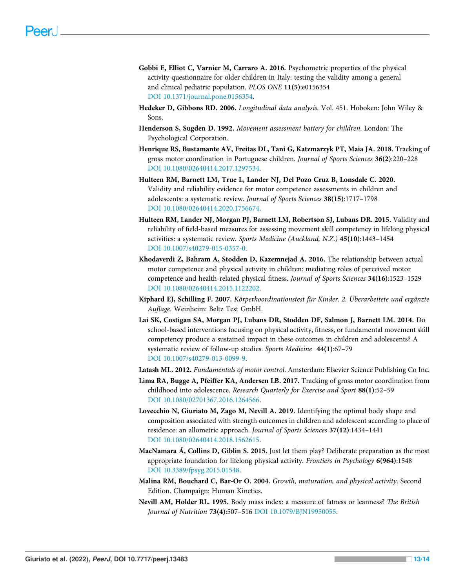- <span id="page-12-9"></span>Gobbi E, Elliot C, Varnier M, Carraro A. 2016. Psychometric properties of the physical activity questionnaire for older children in Italy: testing the validity among a general and clinical pediatric population. PLOS ONE 11(5):e0156354 [DOI 10.1371/journal.pone.0156354](http://dx.doi.org/10.1371/journal.pone.0156354).
- <span id="page-12-10"></span>Hedeker D, Gibbons RD. 2006. Longitudinal data analysis. Vol. 451. Hoboken: John Wiley & Sons.
- <span id="page-12-0"></span>Henderson S, Sugden D. 1992. Movement assessment battery for children. London: The Psychological Corporation.
- <span id="page-12-3"></span>Henrique RS, Bustamante AV, Freitas DL, Tani G, Katzmarzyk PT, Maia JA. 2018. Tracking of gross motor coordination in Portuguese children. Journal of Sports Sciences 36(2):220–228 [DOI 10.1080/02640414.2017.1297534](http://dx.doi.org/10.1080/02640414.2017.1297534).
- <span id="page-12-7"></span>Hulteen RM, Barnett LM, True L, Lander NJ, Del Pozo Cruz B, Lonsdale C. 2020. Validity and reliability evidence for motor competence assessments in children and adolescents: a systematic review. Journal of Sports Sciences 38(15):1717–1798 [DOI 10.1080/02640414.2020.1756674](http://dx.doi.org/10.1080/02640414.2020.1756674).
- <span id="page-12-1"></span>Hulteen RM, Lander NJ, Morgan PJ, Barnett LM, Robertson SJ, Lubans DR. 2015. Validity and reliability of field-based measures for assessing movement skill competency in lifelong physical activities: a systematic review. Sports Medicine (Auckland, N.Z.) 45(10):1443–1454 [DOI 10.1007/s40279-015-0357-0](http://dx.doi.org/10.1007/s40279-015-0357-0).
- <span id="page-12-6"></span>Khodaverdi Z, Bahram A, Stodden D, Kazemnejad A. 2016. The relationship between actual motor competence and physical activity in children: mediating roles of perceived motor competence and health-related physical fitness. Journal of Sports Sciences 34(16):1523–1529 [DOI 10.1080/02640414.2015.1122202](http://dx.doi.org/10.1080/02640414.2015.1122202).
- <span id="page-12-8"></span>Kiphard EJ, Schilling F. 2007. Körperkoordinationstest für Kinder. 2. Überarbeitete und ergänzte Auflage. Weinheim: Beltz Test GmbH.
- <span id="page-12-14"></span>Lai SK, Costigan SA, Morgan PJ, Lubans DR, Stodden DF, Salmon J, Barnett LM. 2014. Do school-based interventions focusing on physical activity, fitness, or fundamental movement skill competency produce a sustained impact in these outcomes in children and adolescents? A systematic review of follow-up studies. Sports Medicine 44(1):67–79 [DOI 10.1007/s40279-013-0099-9](http://dx.doi.org/10.1007/s40279-013-0099-9).
- <span id="page-12-13"></span>Latash ML. 2012. Fundamentals of motor control. Amsterdam: Elsevier Science Publishing Co Inc.
- <span id="page-12-4"></span>Lima RA, Bugge A, Pfeiffer KA, Andersen LB. 2017. Tracking of gross motor coordination from childhood into adolescence. Research Quarterly for Exercise and Sport 88(1):52–59 [DOI 10.1080/02701367.2016.1264566](http://dx.doi.org/10.1080/02701367.2016.1264566).
- <span id="page-12-5"></span>Lovecchio N, Giuriato M, Zago M, Nevill A. 2019. Identifying the optimal body shape and composition associated with strength outcomes in children and adolescent according to place of residence: an allometric approach. Journal of Sports Sciences 37(12):1434–1441 [DOI 10.1080/02640414.2018.1562615](http://dx.doi.org/10.1080/02640414.2018.1562615).
- <span id="page-12-2"></span>MacNamara Á, Collins D, Giblin S. 2015. Just let them play? Deliberate preparation as the most appropriate foundation for lifelong physical activity. Frontiers in Psychology 6(964):1548 [DOI 10.3389/fpsyg.2015.01548](http://dx.doi.org/10.3389/fpsyg.2015.01548).
- <span id="page-12-12"></span>Malina RM, Bouchard C, Bar-Or O. 2004. Growth, maturation, and physical activity. Second Edition. Champaign: Human Kinetics.
- <span id="page-12-11"></span>Nevill AM, Holder RL. 1995. Body mass index: a measure of fatness or leanness? The British Journal of Nutrition 73(4):507–516 [DOI 10.1079/BJN19950055](http://dx.doi.org/10.1079/BJN19950055).